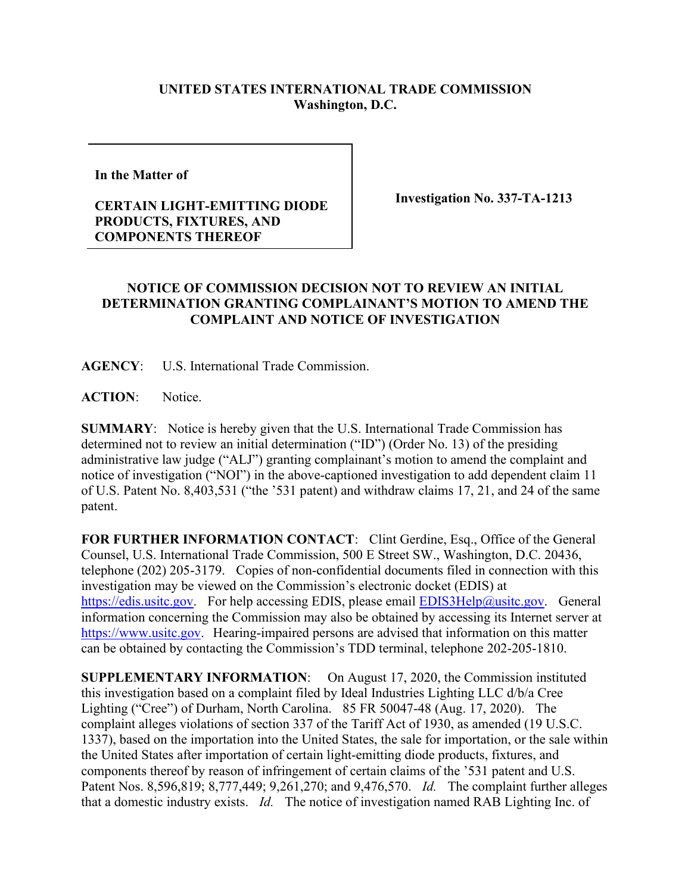## **UNITED STATES INTERNATIONAL TRADE COMMISSION Washington, D.C.**

**In the Matter of** 

## **CERTAIN LIGHT-EMITTING DIODE PRODUCTS, FIXTURES, AND COMPONENTS THEREOF**

**Investigation No. 337-TA-1213**

## **NOTICE OF COMMISSION DECISION NOT TO REVIEW AN INITIAL DETERMINATION GRANTING COMPLAINANT'S MOTION TO AMEND THE COMPLAINT AND NOTICE OF INVESTIGATION**

**AGENCY**: U.S. International Trade Commission.

**ACTION**: Notice.

**SUMMARY**: Notice is hereby given that the U.S. International Trade Commission has determined not to review an initial determination ("ID") (Order No. 13) of the presiding administrative law judge ("ALJ") granting complainant's motion to amend the complaint and notice of investigation ("NOI") in the above-captioned investigation to add dependent claim 11 of U.S. Patent No. 8,403,531 ("the '531 patent) and withdraw claims 17, 21, and 24 of the same patent.

**FOR FURTHER INFORMATION CONTACT**: Clint Gerdine, Esq., Office of the General Counsel, U.S. International Trade Commission, 500 E Street SW., Washington, D.C. 20436, telephone (202) 205-3179. Copies of non-confidential documents filed in connection with this investigation may be viewed on the Commission's electronic docket (EDIS) at [https://edis.usitc.gov.](https://edis.usitc.gov/) For help accessing EDIS, please email [EDIS3Help@usitc.gov.](mailto:EDIS3Help@usitc.gov) General information concerning the Commission may also be obtained by accessing its Internet server at [https://www.usitc.gov.](https://www.usitc.gov/) Hearing-impaired persons are advised that information on this matter can be obtained by contacting the Commission's TDD terminal, telephone 202-205-1810.

**SUPPLEMENTARY INFORMATION**: On August 17, 2020, the Commission instituted this investigation based on a complaint filed by Ideal Industries Lighting LLC d/b/a Cree Lighting ("Cree") of Durham, North Carolina. 85 FR 50047-48 (Aug. 17, 2020). The complaint alleges violations of section 337 of the Tariff Act of 1930, as amended (19 U.S.C. 1337), based on the importation into the United States, the sale for importation, or the sale within the United States after importation of certain light-emitting diode products, fixtures, and components thereof by reason of infringement of certain claims of the '531 patent and U.S. Patent Nos. 8,596,819; 8,777,449; 9,261,270; and 9,476,570. *Id.* The complaint further alleges that a domestic industry exists. *Id.* The notice of investigation named RAB Lighting Inc. of